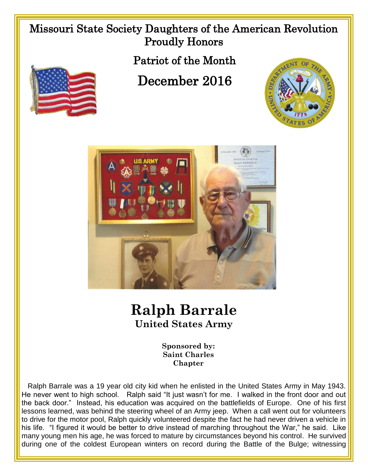## Missouri State Society Daughters of the American Revolution Proudly Honors

Patriot of the Month

## December 2016





## **Ralph Barrale United States Army**

**Sponsored by: Saint Charles Chapter** 

 Ralph Barrale was a 19 year old city kid when he enlisted in the United States Army in May 1943. He never went to high school. Ralph said "It just wasn't for me. I walked in the front door and out the back door." Instead, his education was acquired on the battlefields of Europe. One of his first lessons learned, was behind the steering wheel of an Army jeep. When a call went out for volunteers to drive for the motor pool, Ralph quickly volunteered despite the fact he had never driven a vehicle in his life. "I figured it would be better to drive instead of marching throughout the War," he said. Like many young men his age, he was forced to mature by circumstances beyond his control. He survived during one of the coldest European winters on record during the Battle of the Bulge; witnessing